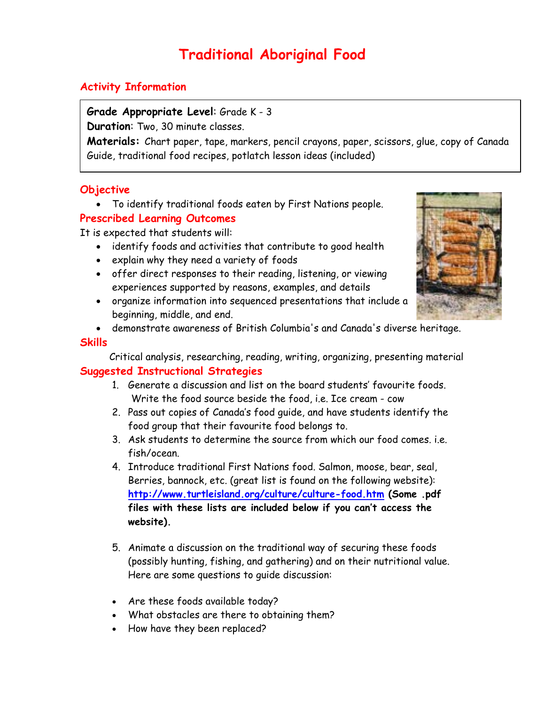# **Traditional Aboriginal Food**

## **Activity Information**

## **Grade Appropriate Level**: Grade K - 3

**Duration**: Two, 30 minute classes.

**Materials:** Chart paper, tape, markers, pencil crayons, paper, scissors, glue, copy of Canada Guide, traditional food recipes, potlatch lesson ideas (included)

## **Objective**

• To identify traditional foods eaten by First Nations people.

## **Prescribed Learning Outcomes**

It is expected that students will:

- identify foods and activities that contribute to good health
- explain why they need a variety of foods
- offer direct responses to their reading, listening, or viewing experiences supported by reasons, examples, and details
- organize information into sequenced presentations that include a beginning, middle, and end.
- demonstrate awareness of British Columbia's and Canada's diverse heritage.

## **Skills**

Critical analysis, researching, reading, writing, organizing, presenting material

## **Suggested Instructional Strategies**

- 1. Generate a discussion and list on the board students' favourite foods. Write the food source beside the food, i.e. Ice cream - cow
- 2. Pass out copies of Canada's food guide, and have students identify the food group that their favourite food belongs to.
- 3. Ask students to determine the source from which our food comes. i.e. fish/ocean.
- 4. Introduce traditional First Nations food. Salmon, moose, bear, seal, Berries, bannock, etc. (great list is found on the following website): **<http://www.turtleisland.org/culture/culture-food.htm>(Some .pdf files with these lists are included below if you can't access the website).**
- 5. Animate a discussion on the traditional way of securing these foods (possibly hunting, fishing, and gathering) and on their nutritional value. Here are some questions to guide discussion:
- Are these foods available today?
- What obstacles are there to obtaining them?
- How have they been replaced?

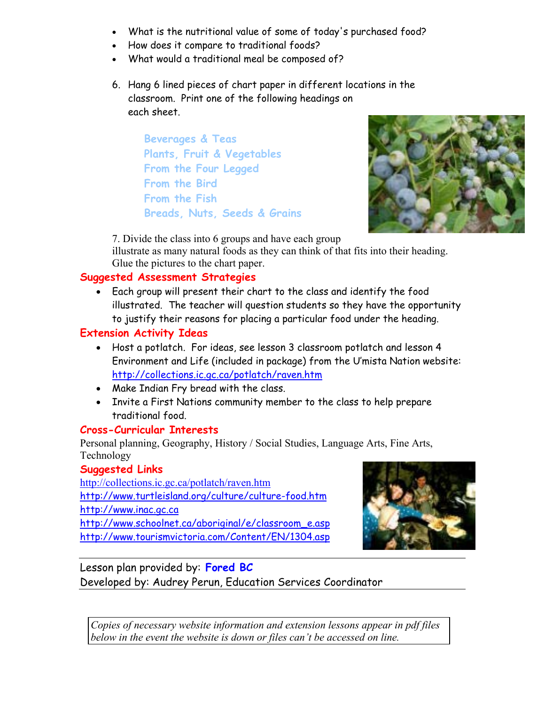- What is the nutritional value of some of today's purchased food?
- How does it compare to traditional foods?
- What would a traditional meal be composed of?
- 6. Hang 6 lined pieces of chart paper in different locations in the classroom. Print one of the following headings on each sheet.

 **Beverages & Teas Plants, Fruit & Vegetables From the Four Legged From the Bird From the Fish Breads, Nuts, Seeds & Grains** 



7. Divide the class into 6 groups and have each group

illustrate as many natural foods as they can think of that fits into their heading. Glue the pictures to the chart paper.

## **Suggested Assessment Strategies**

• Each group will present their chart to the class and identify the food illustrated. The teacher will question students so they have the opportunity to justify their reasons for placing a particular food under the heading.

## **Extension Activity Ideas**

- Host a potlatch. For ideas, see lesson 3 classroom potlatch and lesson 4 Environment and Life (included in package) from the U'mista Nation website: <http://collections.ic.gc.ca/potlatch/raven.htm>
- Make Indian Fry bread with the class.
- Invite a First Nations community member to the class to help prepare traditional food.

## **Cross-Curricular Interests**

Personal planning, Geography, History / Social Studies, Language Arts, Fine Arts, Technology

## **Suggested Links**

<http://collections.ic.gc.ca/potlatch/raven.htm> <http://www.turtleisland.org/culture/culture-food.htm> <http://www.inac.gc.ca> [http://www.schoolnet.ca/aboriginal/e/classroom\\_e.asp](http://www.schoolnet.ca/aboriginal/e/classroom_e.asp) <http://www.tourismvictoria.com/Content/EN/1304.asp>



Lesson plan provided by: **Fored BC** Developed by: Audrey Perun, Education Services Coordinator

*Copies of necessary website information and extension lessons appear in pdf files below in the event the website is down or files can't be accessed on line.*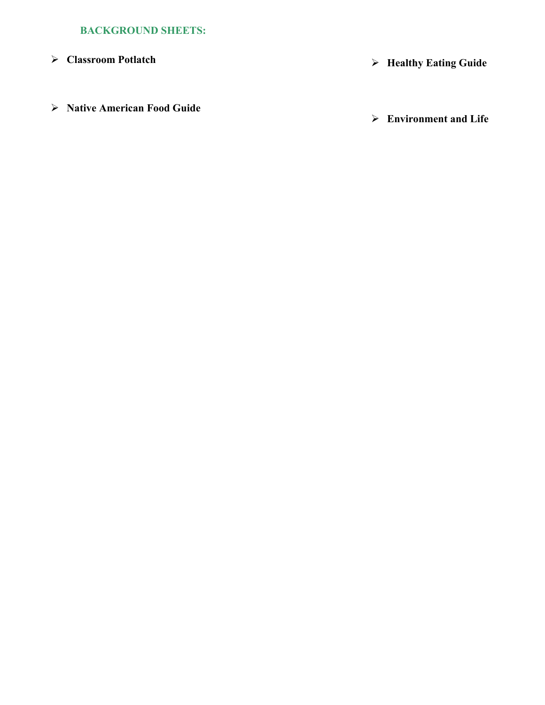## **BACKGROUND SHEETS:**

**Native American Food Guide** 

**Classroom Potlatch** ¾ **Healthy Eating Guide** 

**Environment and Life**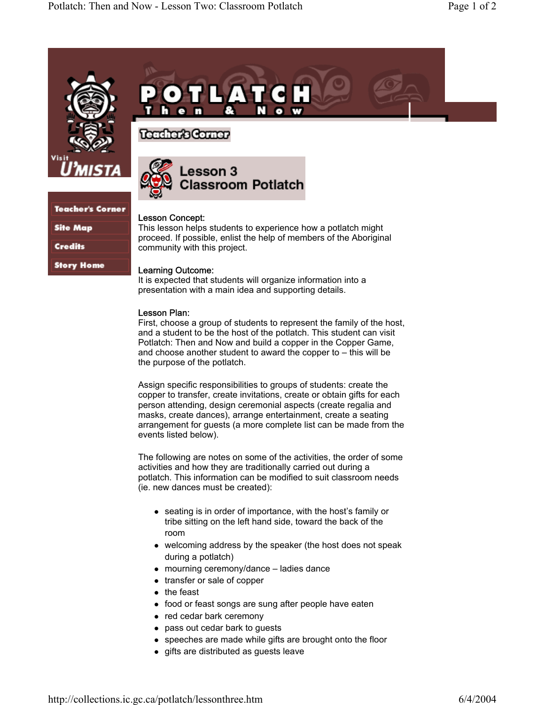

**Teacher's Corner** 

**Site Map** 

**Credits** 

**Story Home** 



## Teacher's Comer



#### Lesson Concept:

This lesson helps students to experience how a potlatch might proceed. If possible, enlist the help of members of the Aboriginal community with this project.

#### Learning Outcome:

It is expected that students will organize information into a presentation with a main idea and supporting details.

#### Lesson Plan:

First, choose a group of students to represent the family of the host, and a student to be the host of the potlatch. This student can visit Potlatch: Then and Now and build a copper in the Copper Game, and choose another student to award the copper to – this will be the purpose of the potlatch.

Assign specific responsibilities to groups of students: create the copper to transfer, create invitations, create or obtain gifts for each person attending, design ceremonial aspects (create regalia and masks, create dances), arrange entertainment, create a seating arrangement for guests (a more complete list can be made from the events listed below).

The following are notes on some of the activities, the order of some activities and how they are traditionally carried out during a potlatch. This information can be modified to suit classroom needs (ie. new dances must be created):

- $\bullet$  seating is in order of importance, with the host's family or tribe sitting on the left hand side, toward the back of the room
- $\bullet$  welcoming address by the speaker (the host does not speak) during a potlatch)
- $\bullet$  mourning ceremony/dance ladies dance
- $\bullet$  transfer or sale of copper
- $\bullet$  the feast
- food or feast songs are sung after people have eaten
- red cedar bark ceremony
- pass out cedar bark to guests
- speeches are made while gifts are brought onto the floor
- $\bullet$  gifts are distributed as guests leave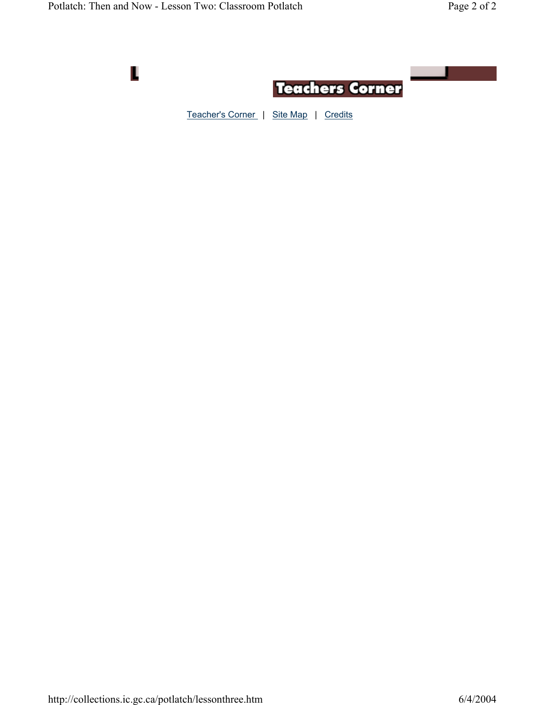

Teacher's Corner | Site Map | Credits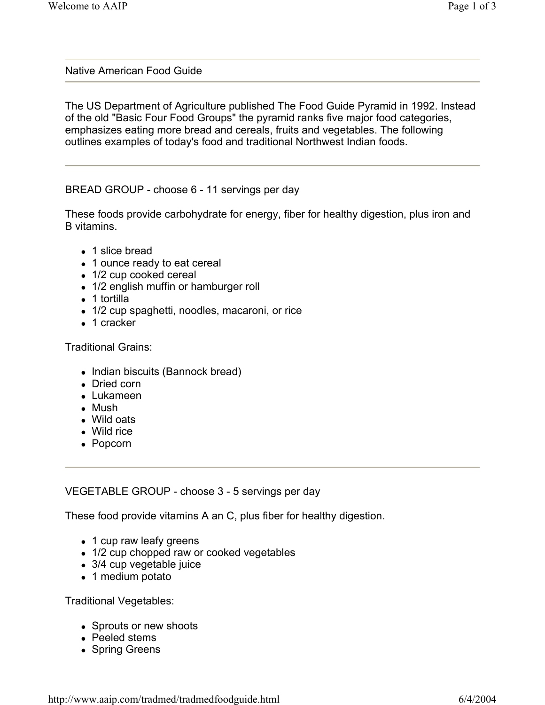## Native American Food Guide

The US Department of Agriculture published The Food Guide Pyramid in 1992. Instead of the old "Basic Four Food Groups" the pyramid ranks five major food categories, emphasizes eating more bread and cereals, fruits and vegetables. The following outlines examples of today's food and traditional Northwest Indian foods.

BREAD GROUP - choose 6 - 11 servings per day

These foods provide carbohydrate for energy, fiber for healthy digestion, plus iron and B vitamins.

- 1 slice bread
- 1 ounce ready to eat cereal
- $\bullet$  1/2 cup cooked cereal
- 1/2 english muffin or hamburger roll
- $\bullet$  1 tortilla
- 1/2 cup spaghetti, noodles, macaroni, or rice
- $\bullet$  1 cracker

Traditional Grains:

- Indian biscuits (Bannock bread)
- Dried corn
- $\bullet$  Lukameen
- $\bullet$  Mush
- Wild oats
- $\bullet$  Wild rice
- Popcorn

VEGETABLE GROUP - choose 3 - 5 servings per day

These food provide vitamins A an C, plus fiber for healthy digestion.

- 1 cup raw leafy greens
- 1/2 cup chopped raw or cooked vegetables
- 3/4 cup vegetable juice
- 1 medium potato

Traditional Vegetables:

- Sprouts or new shoots
- Peeled stems
- Spring Greens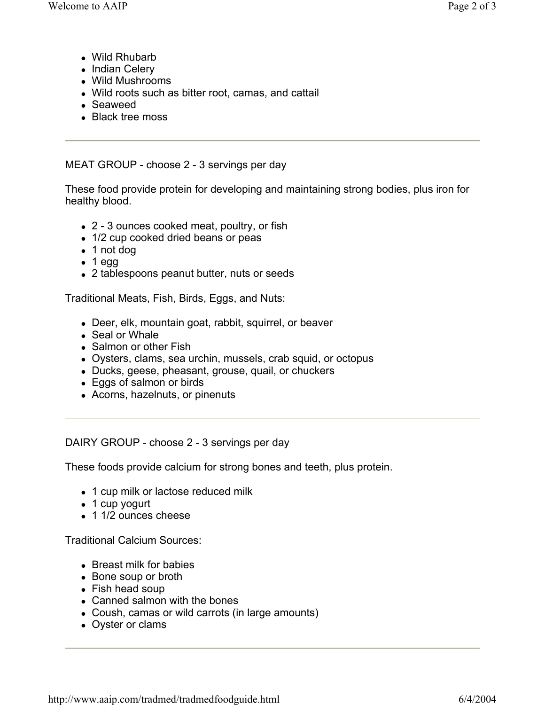- Wild Rhubarb
- Indian Celery
- Wild Mushrooms
- Wild roots such as bitter root, camas, and cattail
- Seaweed
- Black tree moss

MEAT GROUP - choose 2 - 3 servings per day

These food provide protein for developing and maintaining strong bodies, plus iron for healthy blood.

- 2 3 ounces cooked meat, poultry, or fish
- 1/2 cup cooked dried beans or peas
- $\bullet$  1 not dog
- $\bullet$  1 egg
- 2 tablespoons peanut butter, nuts or seeds

Traditional Meats, Fish, Birds, Eggs, and Nuts:

- Deer, elk, mountain goat, rabbit, squirrel, or beaver
- Seal or Whale
- Salmon or other Fish
- Oysters, clams, sea urchin, mussels, crab squid, or octopus
- Ducks, geese, pheasant, grouse, quail, or chuckers
- Eggs of salmon or birds
- Acorns, hazelnuts, or pinenuts

DAIRY GROUP - choose 2 - 3 servings per day

These foods provide calcium for strong bones and teeth, plus protein.

- 1 cup milk or lactose reduced milk
- $\bullet$  1 cup yogurt
- 1 1/2 ounces cheese

Traditional Calcium Sources:

- Breast milk for babies
- Bone soup or broth
- $\bullet$  Fish head soup
- Canned salmon with the bones
- Coush, camas or wild carrots (in large amounts)
- Oyster or clams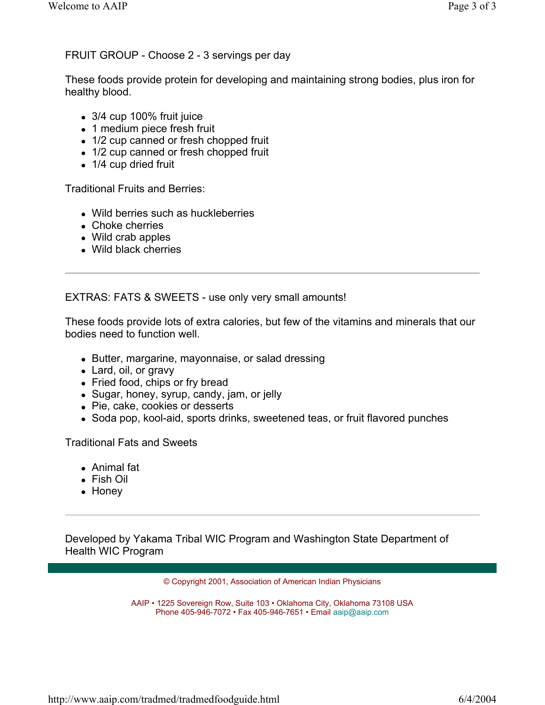## FRUIT GROUP - Choose 2 - 3 servings per day

These foods provide protein for developing and maintaining strong bodies, plus iron for healthy blood.

- $\bullet$  3/4 cup 100% fruit juice
- 1 medium piece fresh fruit
- 1/2 cup canned or fresh chopped fruit
- 1/2 cup canned or fresh chopped fruit
- $\bullet$  1/4 cup dried fruit

Traditional Fruits and Berries:

- Wild berries such as huckleberries
- Choke cherries
- $\bullet$  Wild crab apples
- Wild black cherries

EXTRAS: FATS & SWEETS - use only very small amounts!

These foods provide lots of extra calories, but few of the vitamins and minerals that our bodies need to function well.

- Butter, margarine, mayonnaise, or salad dressing
- Lard, oil, or gravy
- Fried food, chips or fry bread
- Sugar, honey, syrup, candy, jam, or jelly
- Pie, cake, cookies or desserts
- Soda pop, kool-aid, sports drinks, sweetened teas, or fruit flavored punches

Traditional Fats and Sweets

- Animal fat
- Fish Oil
- Honey

Developed by Yakama Tribal WIC Program and Washington State Department of Health WIC Program

© Copyright 2001, Association of American Indian Physicians

AAIP • 1225 Sovereign Row, Suite 103 • Oklahoma City, Oklahoma 73108 USA Phone 405-946-7072 • Fax 405-946-7651 • Email aaip@aaip.com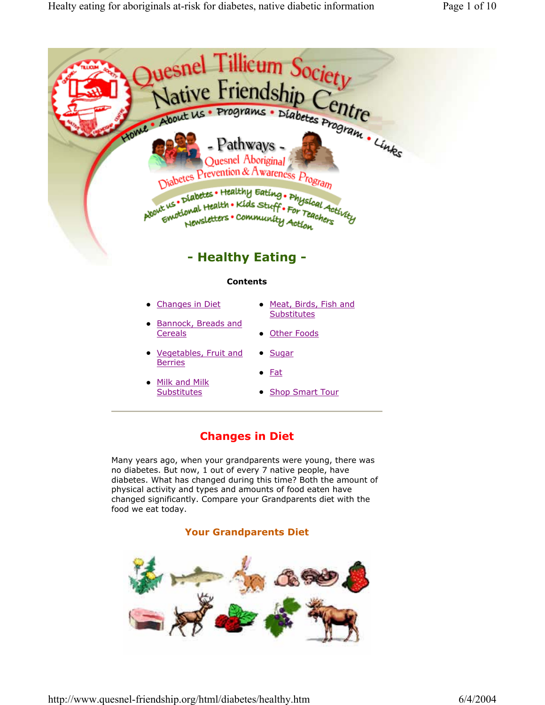

## **- Healthy Eating -**

#### **Contents**

- Changes in Diet • Meat, Birds, Fish and
- **Bannock, Breads and Cereals**
- Vegetables, Fruit and **Berries**
- $\bullet$  Fat

• Sugar

- Milk and Milk **Substitutes**
- Shop Smart Tour

**Substitutes** 

• Other Foods

## **Changes in Diet**

Many years ago, when your grandparents were young, there was no diabetes. But now, 1 out of every 7 native people, have diabetes. What has changed during this time? Both the amount of physical activity and types and amounts of food eaten have changed significantly. Compare your Grandparents diet with the food we eat today.

### **Your Grandparents Diet**

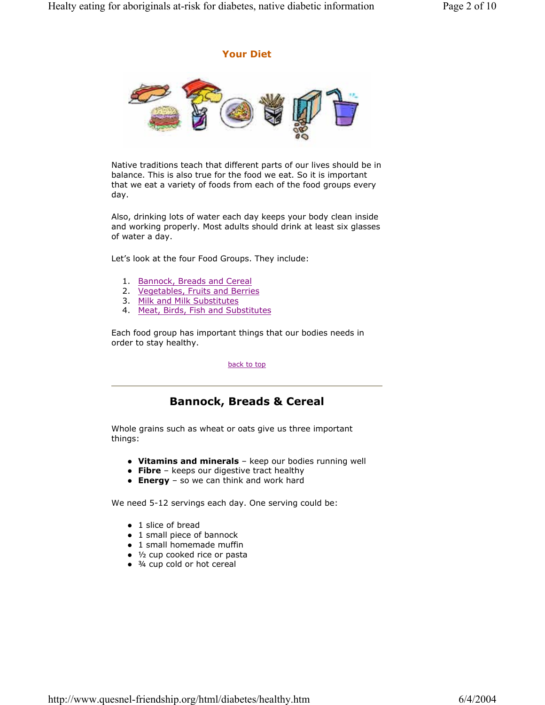#### **Your Diet**



Native traditions teach that different parts of our lives should be in balance. This is also true for the food we eat. So it is important that we eat a variety of foods from each of the food groups every day.

Also, drinking lots of water each day keeps your body clean inside and working properly. Most adults should drink at least six glasses of water a day.

Let's look at the four Food Groups. They include:

- 1. Bannock, Breads and Cereal
- 2. Vegetables, Fruits and Berries
- 3. Milk and Milk Substitutes
- 4. Meat, Birds, Fish and Substitutes

Each food group has important things that our bodies needs in order to stay healthy.

#### back to top

## **Bannock, Breads & Cereal**

Whole grains such as wheat or oats give us three important things:

- **Vitamins and minerals** keep our bodies running well
- **Fibre** keeps our digestive tract healthy
- **Energy** so we can think and work hard

We need 5-12 servings each day. One serving could be:

- $\bullet$  1 slice of bread
- 1 small piece of bannock
- $\bullet$  1 small homemade muffin
- $\bullet$  1/2 cup cooked rice or pasta
- $\bullet$   $\frac{3}{4}$  cup cold or hot cereal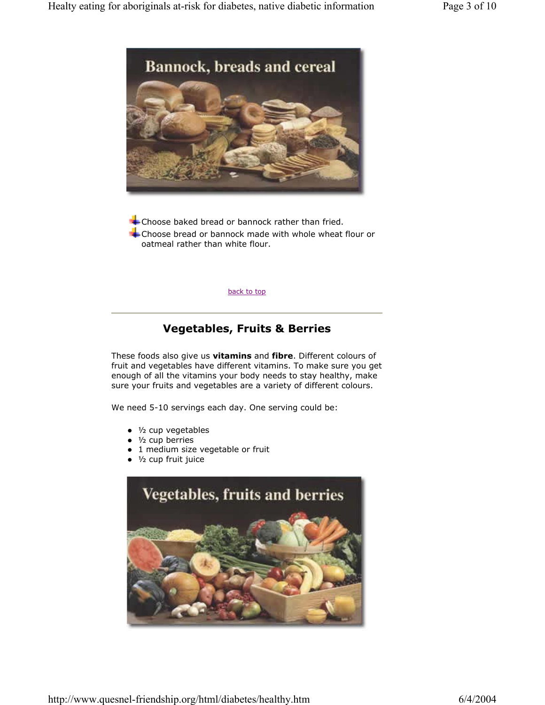

Choose baked bread or bannock rather than fried. Choose bread or bannock made with whole wheat flour or oatmeal rather than white flour.

back to top

## **Vegetables, Fruits & Berries**

These foods also give us **vitamins** and **fibre**. Different colours of fruit and vegetables have different vitamins. To make sure you get enough of all the vitamins your body needs to stay healthy, make sure your fruits and vegetables are a variety of different colours.

We need 5-10 servings each day. One serving could be:

- $\bullet$  1/<sub>2</sub> cup vegetables
- $\bullet$  1/<sub>2</sub> cup berries
- 1 medium size vegetable or fruit
- $\bullet$  1/2 cup fruit juice

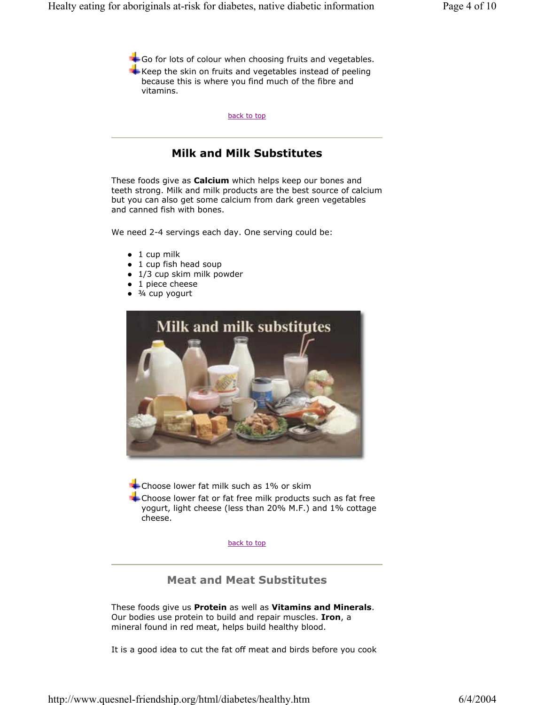+ Go for lots of colour when choosing fruits and vegetables.  $\blacktriangle$  Keep the skin on fruits and vegetables instead of peeling because this is where you find much of the fibre and vitamins.

back to top

## **Milk and Milk Substitutes**

These foods give as **Calcium** which helps keep our bones and teeth strong. Milk and milk products are the best source of calcium but you can also get some calcium from dark green vegetables and canned fish with bones.

We need 2-4 servings each day. One serving could be:

- $\bullet$  1 cup milk
- $\bullet$  1 cup fish head soup
- $\bullet$  1/3 cup skim milk powder
- $\bullet$  1 piece cheese
- $\bullet$   $\frac{3}{4}$  cup yogurt



Choose lower fat milk such as 1% or skim

Choose lower fat or fat free milk products such as fat free yogurt, light cheese (less than 20% M.F.) and 1% cottage cheese.

back to top

## **Meat and Meat Substitutes**

These foods give us **Protein** as well as **Vitamins and Minerals**. Our bodies use protein to build and repair muscles. **Iron**, a mineral found in red meat, helps build healthy blood.

It is a good idea to cut the fat off meat and birds before you cook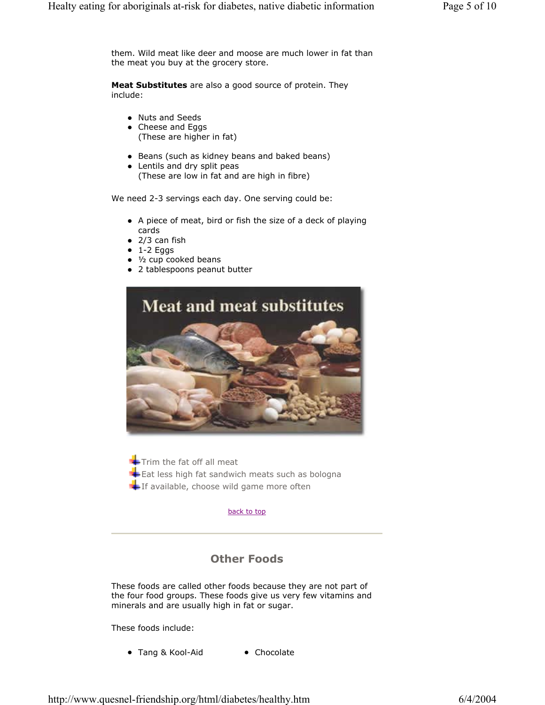them. Wild meat like deer and moose are much lower in fat than the meat you buy at the grocery store.

**Meat Substitutes** are also a good source of protein. They include:

- Nuts and Seeds
- Cheese and Eggs (These are higher in fat)
- Beans (such as kidney beans and baked beans)
- Lentils and dry split peas (These are low in fat and are high in fibre)

We need 2-3 servings each day. One serving could be:

- A piece of meat, bird or fish the size of a deck of playing cards
- $\bullet$  2/3 can fish
- $\bullet$  1-2 Eggs
- $\bullet$  1/<sub>2</sub> cup cooked beans
- 2 tablespoons peanut butter



 $\blacktriangleright$  Trim the fat off all meat  $\blacktriangle$  Eat less high fat sandwich meats such as bologna If available, choose wild game more often

#### back to top

## **Other Foods**

These foods are called other foods because they are not part of the four food groups. These foods give us very few vitamins and minerals and are usually high in fat or sugar.

These foods include:

• Tang & Kool-Aid • Chocolate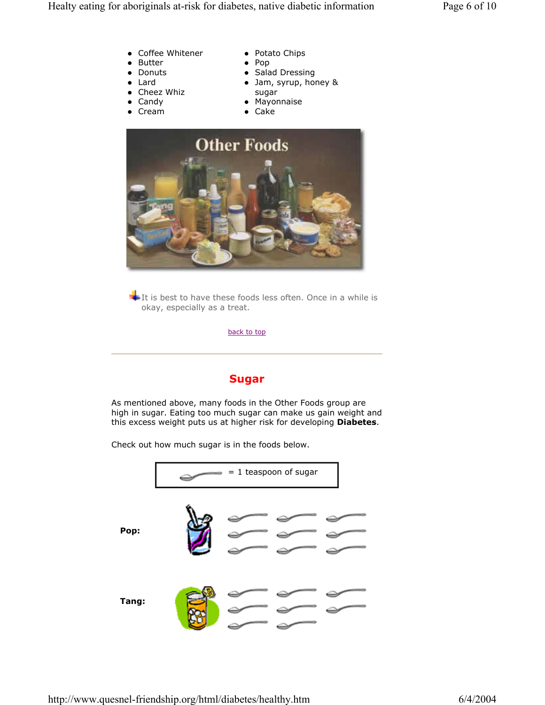- Coffee Whitener
- Butter
- Donuts
- $\bullet$  Lard
- Cheez Whiz
- $\bullet$  Candy
- $\bullet$  Cream
- Potato Chips
- $\bullet$  Pop
	- Salad Dressing
	- Jam, syrup, honey & sugar
	- Mayonnaise
	- $\bullet$  Cake



It is best to have these foods less often. Once in a while is okay, especially as a treat.

back to top

## **Sugar**

As mentioned above, many foods in the Other Foods group are high in sugar. Eating too much sugar can make us gain weight and this excess weight puts us at higher risk for developing **Diabetes**.

Check out how much sugar is in the foods below.

|       | $= 1$ teaspoon of sugar |
|-------|-------------------------|
| Pop:  |                         |
| Tang: |                         |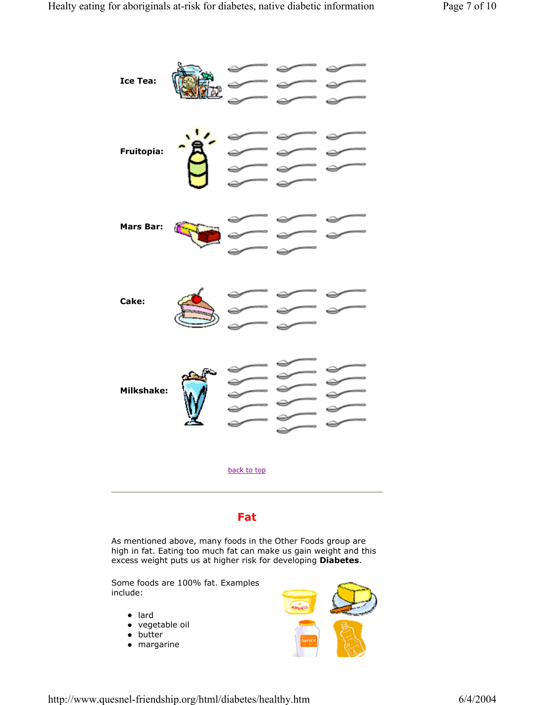

## **Fat**

As mentioned above, many foods in the Other Foods group are high in fat. Eating too much fat can make us gain weight and this excess weight puts us at higher risk for developing **Diabetes**.

Some foods are 100% fat. Examples include:

- lard
- vegetable oil
- $\bullet$  butter
- $\bullet$  margarine

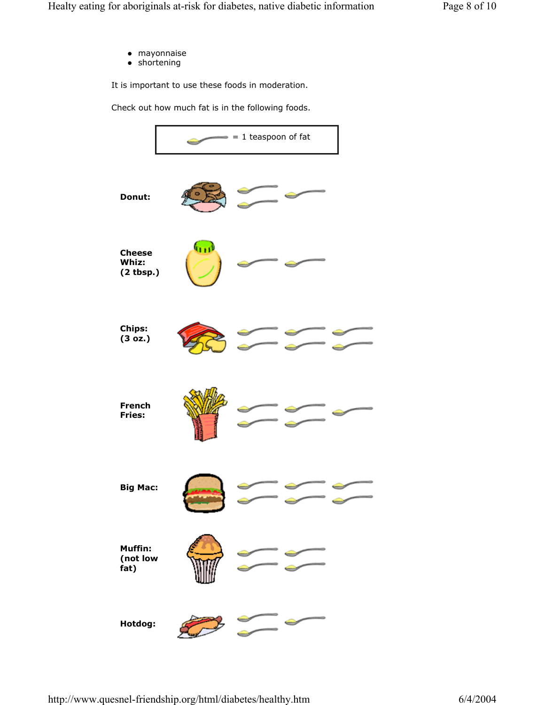- $\bullet$  mayonnaise
- $\bullet$  shortening

It is important to use these foods in moderation.

Check out how much fat is in the following foods.

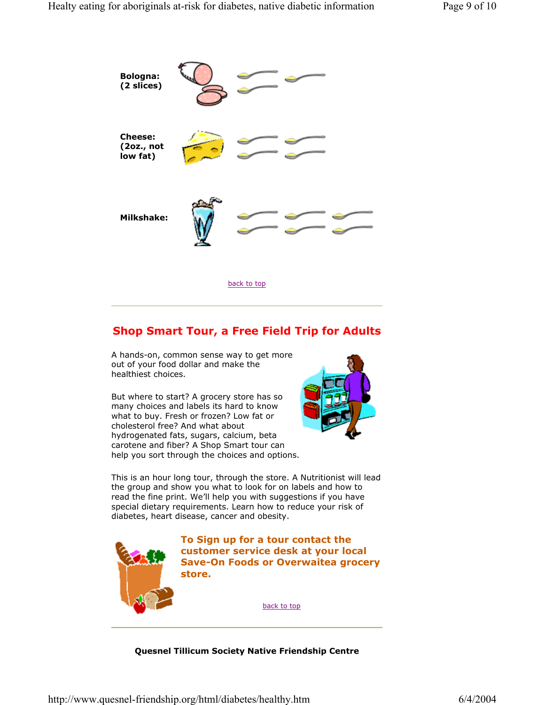

## **Shop Smart Tour, a Free Field Trip for Adults**

A hands-on, common sense way to get more out of your food dollar and make the healthiest choices.

But where to start? A grocery store has so many choices and labels its hard to know what to buy. Fresh or frozen? Low fat or cholesterol free? And what about hydrogenated fats, sugars, calcium, beta carotene and fiber? A Shop Smart tour can help you sort through the choices and options.



This is an hour long tour, through the store. A Nutritionist will lead the group and show you what to look for on labels and how to read the fine print. We'll help you with suggestions if you have special dietary requirements. Learn how to reduce your risk of diabetes, heart disease, cancer and obesity.



**To Sign up for a tour contact the customer service desk at your local Save-On Foods or Overwaitea grocery store.** 

back to top

**Quesnel Tillicum Society Native Friendship Centre**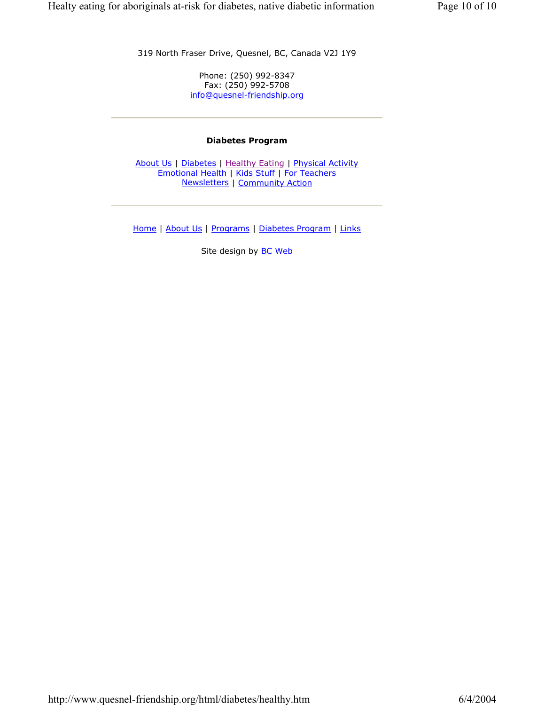319 North Fraser Drive, Quesnel, BC, Canada V2J 1Y9

Phone: (250) 992-8347 Fax: (250) 992-5708 info@quesnel-friendship.org

#### **Diabetes Program**

About Us | Diabetes | Healthy Eating | Physical Activity Emotional Health | Kids Stuff | For Teachers Newsletters | Community Action

Home | About Us | Programs | Diabetes Program | Links

Site design by **BC Web**